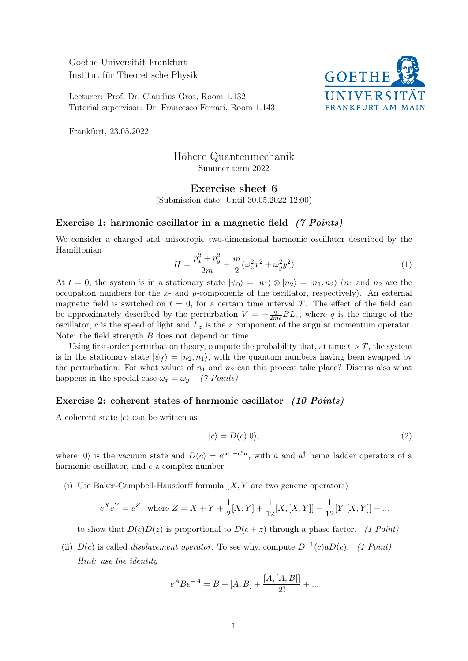Goethe-Universität Frankfurt Institut für Theoretische Physik

Lecturer: Prof. Dr. Claudius Gros, Room 1.132 Tutorial supervisor: Dr. Francesco Ferrari, Room 1.143



Frankfurt, 23.05.2022

# Höhere Quantenmechanik Summer term 2022

## Exercise sheet 6

(Submission date: Until 30.05.2022 12:00)

#### Exercise 1: harmonic oscillator in a magnetic field (7 Points)

We consider a charged and anisotropic two-dimensional harmonic oscillator described by the Hamiltonian

$$
H = \frac{p_x^2 + p_y^2}{2m} + \frac{m}{2}(\omega_x^2 x^2 + \omega_y^2 y^2)
$$
 (1)

At  $t = 0$ , the system is in a stationary state  $|\psi_0\rangle = |n_1\rangle \otimes |n_2\rangle = |n_1, n_2\rangle$   $(n_1$  and  $n_2$  are the occupation numbers for the x- and y-components of the oscillator, respectively). An external magnetic field is switched on  $t = 0$ , for a certain time interval T. The effect of the field can be approximately described by the perturbation  $V = -\frac{q}{2mc}BL_z$ , where q is the charge of the oscillator, c is the speed of light and  $L<sub>z</sub>$  is the z component of the angular momentum operator. Note: the field strength B does not depend on time.

Using first-order perturbation theory, compute the probability that, at time  $t > T$ , the system is in the stationary state  $|\psi_f\rangle = |n_2, n_1\rangle$ , with the quantum numbers having been swapped by the perturbation. For what values of  $n_1$  and  $n_2$  can this process take place? Discuss also what happens in the special case  $\omega_x = \omega_y$ . (7 Points)

#### Exercise 2: coherent states of harmonic oscillator (10 Points)

A coherent state  $|c\rangle$  can be written as

$$
|c\rangle = D(c)|0\rangle, \tag{2}
$$

where  $|0\rangle$  is the vacuum state and  $D(c) = e^{ca^{\dagger}-c^{*}a}$ , with a and  $a^{\dagger}$  being ladder operators of a harmonic oscillator, and c a complex number.

(i) Use Baker-Campbell-Hausdorff formula  $(X, Y)$  are two generic operators)

$$
e^{X}e^{Y} = e^{Z}
$$
, where  $Z = X + Y + \frac{1}{2}[X, Y] + \frac{1}{12}[X, [X, Y]] - \frac{1}{12}[Y, [X, Y]] + ...$ 

to show that  $D(c)D(z)$  is proportional to  $D(c+z)$  through a phase factor. (1 Point)

(ii)  $D(c)$  is called *displacement operator*. To see why, compute  $D^{-1}(c)aD(c)$ . (1 Point) Hint: use the identity

$$
e^{A}Be^{-A} = B + [A, B] + \frac{[A, [A, B]]}{2!} + \dots
$$